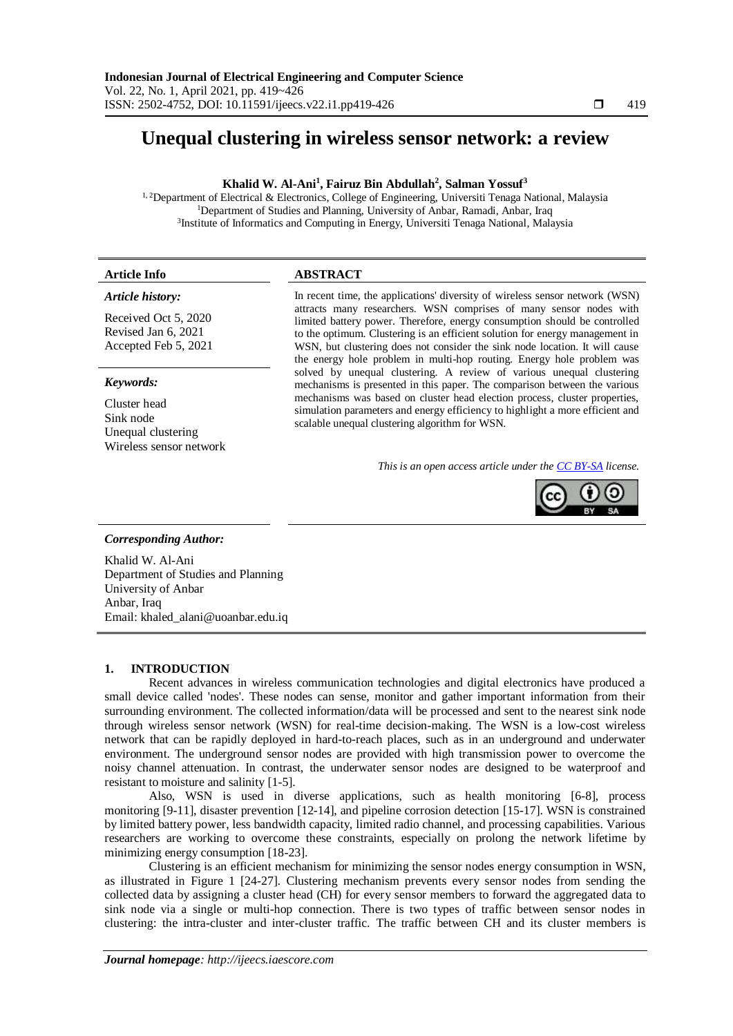# **Unequal clustering in wireless sensor network: a review**

# **Khalid W. Al-Ani<sup>1</sup> , Fairuz Bin Abdullah<sup>2</sup> , Salman Yossuf<sup>3</sup>**

<sup>1, 2</sup>Department of Electrical & Electronics, College of Engineering, Universiti Tenaga National, Malaysia <sup>1</sup>Department of Studies and Planning, University of Anbar, Ramadi, Anbar, Iraq <sup>3</sup>Institute of Informatics and Computing in Energy, Universiti Tenaga National, Malaysia

# **Article Info ABSTRACT**

#### *Article history:*

Received Oct 5, 2020 Revised Jan 6, 2021 Accepted Feb 5, 2021

# *Keywords:*

Cluster head Sink node Unequal clustering Wireless sensor network

In recent time, the applications' diversity of wireless sensor network (WSN) attracts many researchers. WSN comprises of many sensor nodes with limited battery power. Therefore, energy consumption should be controlled to the optimum. Clustering is an efficient solution for energy management in WSN, but clustering does not consider the sink node location. It will cause the energy hole problem in multi-hop routing. Energy hole problem was solved by unequal clustering. A review of various unequal clustering mechanisms is presented in this paper. The comparison between the various mechanisms was based on cluster head election process, cluster properties, simulation parameters and energy efficiency to highlight a more efficient and scalable unequal clustering algorithm for WSN.

*This is an open access article under the [CC BY-SA](https://creativecommons.org/licenses/by-sa/4.0/) license.*



#### *Corresponding Author:*

Khalid W. Al-Ani Department of Studies and Planning University of Anbar Anbar, Iraq Email: khaled\_alani@uoanbar.edu.iq

### **1. INTRODUCTION**

Recent advances in wireless communication technologies and digital electronics have produced a small device called 'nodes'. These nodes can sense, monitor and gather important information from their surrounding environment. The collected information/data will be processed and sent to the nearest sink node through wireless sensor network (WSN) for real-time decision-making. The WSN is a low-cost wireless network that can be rapidly deployed in hard-to-reach places, such as in an underground and underwater environment. The underground sensor nodes are provided with high transmission power to overcome the noisy channel attenuation. In contrast, the underwater sensor nodes are designed to be waterproof and resistant to moisture and salinity [1-5].

Also, WSN is used in diverse applications, such as health monitoring [6-8], process monitoring [9-11], disaster prevention [12-14], and pipeline corrosion detection [15-17]. WSN is constrained by limited battery power, less bandwidth capacity, limited radio channel, and processing capabilities. Various researchers are working to overcome these constraints, especially on prolong the network lifetime by minimizing energy consumption [18-23].

Clustering is an efficient mechanism for minimizing the sensor nodes energy consumption in WSN, as illustrated in Figure 1 [24-27]. Clustering mechanism prevents every sensor nodes from sending the collected data by assigning a cluster head (CH) for every sensor members to forward the aggregated data to sink node via a single or multi-hop connection. There is two types of traffic between sensor nodes in clustering: the intra-cluster and inter-cluster traffic. The traffic between CH and its cluster members is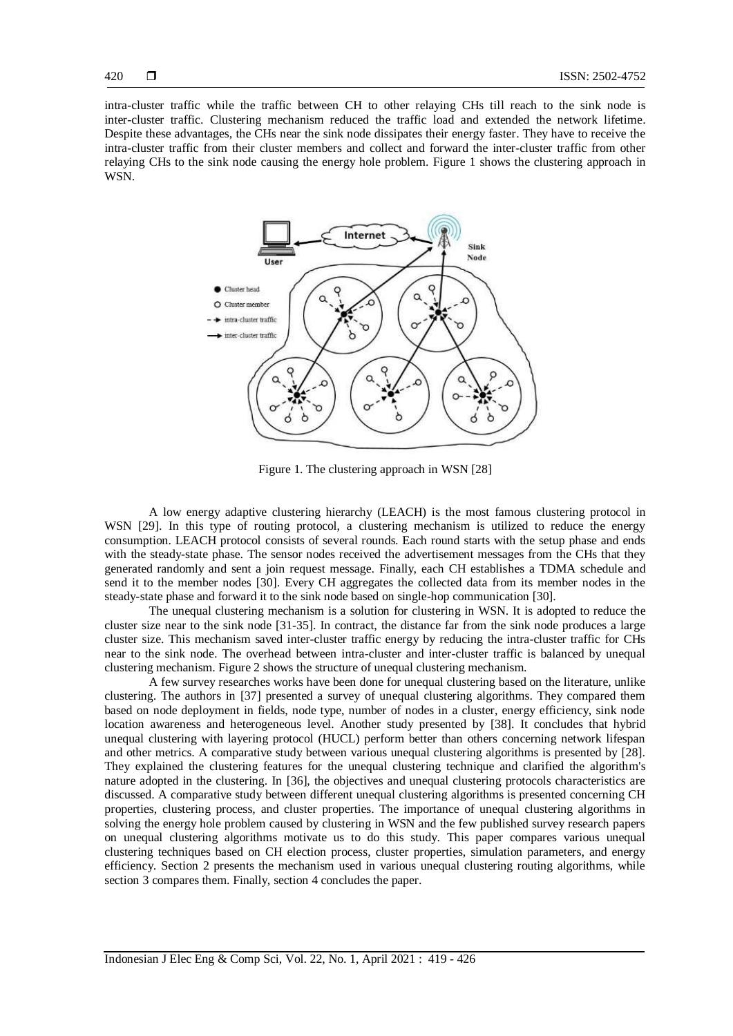intra-cluster traffic while the traffic between CH to other relaying CHs till reach to the sink node is inter-cluster traffic. Clustering mechanism reduced the traffic load and extended the network lifetime. Despite these advantages, the CHs near the sink node dissipates their energy faster. They have to receive the intra-cluster traffic from their cluster members and collect and forward the inter-cluster traffic from other relaying CHs to the sink node causing the energy hole problem. Figure 1 shows the clustering approach in WSN.



Figure 1. The clustering approach in WSN [28]

A low energy adaptive clustering hierarchy (LEACH) is the most famous clustering protocol in WSN [29]. In this type of routing protocol, a clustering mechanism is utilized to reduce the energy consumption. LEACH protocol consists of several rounds. Each round starts with the setup phase and ends with the steady-state phase. The sensor nodes received the advertisement messages from the CHs that they generated randomly and sent a join request message. Finally, each CH establishes a TDMA schedule and send it to the member nodes [30]. Every CH aggregates the collected data from its member nodes in the steady-state phase and forward it to the sink node based on single-hop communication [30].

The unequal clustering mechanism is a solution for clustering in WSN. It is adopted to reduce the cluster size near to the sink node [31-35]. In contract, the distance far from the sink node produces a large cluster size. This mechanism saved inter-cluster traffic energy by reducing the intra-cluster traffic for CHs near to the sink node. The overhead between intra-cluster and inter-cluster traffic is balanced by unequal clustering mechanism. Figure 2 shows the structure of unequal clustering mechanism.

A few survey researches works have been done for unequal clustering based on the literature, unlike clustering. The authors in [37] presented a survey of unequal clustering algorithms. They compared them based on node deployment in fields, node type, number of nodes in a cluster, energy efficiency, sink node location awareness and heterogeneous level. Another study presented by [38]. It concludes that hybrid unequal clustering with layering protocol (HUCL) perform better than others concerning network lifespan and other metrics. A comparative study between various unequal clustering algorithms is presented by [28]. They explained the clustering features for the unequal clustering technique and clarified the algorithm's nature adopted in the clustering. In [36], the objectives and unequal clustering protocols characteristics are discussed. A comparative study between different unequal clustering algorithms is presented concerning CH properties, clustering process, and cluster properties. The importance of unequal clustering algorithms in solving the energy hole problem caused by clustering in WSN and the few published survey research papers on unequal clustering algorithms motivate us to do this study. This paper compares various unequal clustering techniques based on CH election process, cluster properties, simulation parameters, and energy efficiency. Section 2 presents the mechanism used in various unequal clustering routing algorithms, while section 3 compares them. Finally, section 4 concludes the paper.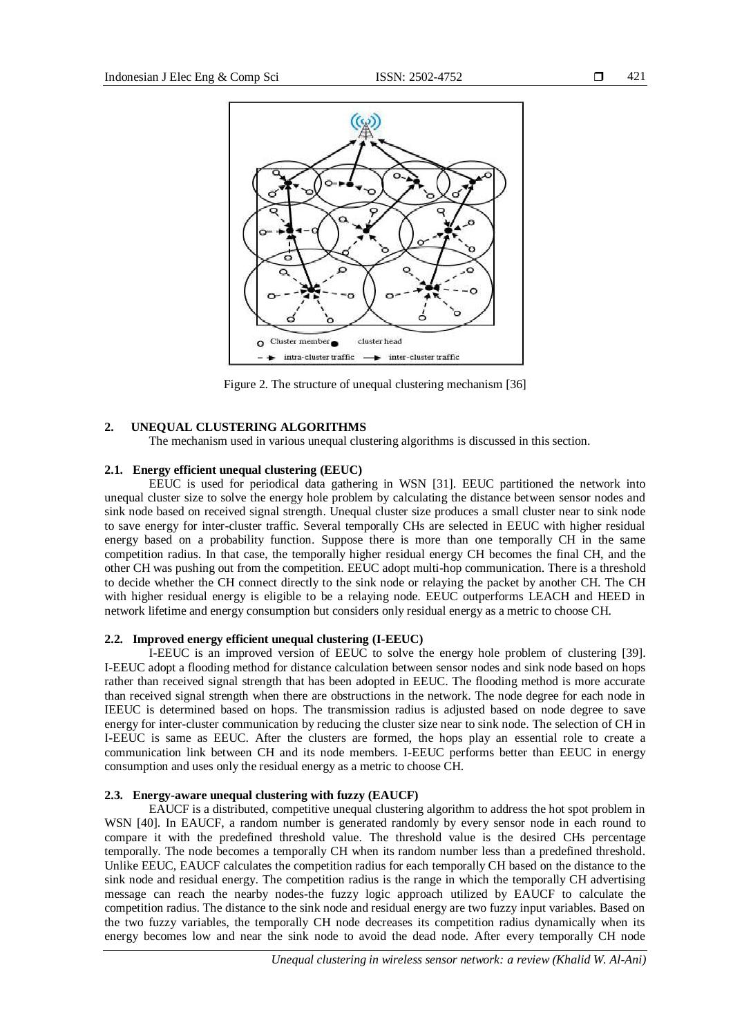

Figure 2. The structure of unequal clustering mechanism [36]

# **2. UNEQUAL CLUSTERING ALGORITHMS**

The mechanism used in various unequal clustering algorithms is discussed in this section.

# **2.1. Energy efficient unequal clustering (EEUC)**

EEUC is used for periodical data gathering in WSN [31]. EEUC partitioned the network into unequal cluster size to solve the energy hole problem by calculating the distance between sensor nodes and sink node based on received signal strength. Unequal cluster size produces a small cluster near to sink node to save energy for inter-cluster traffic. Several temporally CHs are selected in EEUC with higher residual energy based on a probability function. Suppose there is more than one temporally CH in the same competition radius. In that case, the temporally higher residual energy CH becomes the final CH, and the other CH was pushing out from the competition. EEUC adopt multi-hop communication. There is a threshold to decide whether the CH connect directly to the sink node or relaying the packet by another CH. The CH with higher residual energy is eligible to be a relaying node. EEUC outperforms LEACH and HEED in network lifetime and energy consumption but considers only residual energy as a metric to choose CH.

# **2.2. Improved energy efficient unequal clustering (I-EEUC)**

I-EEUC is an improved version of EEUC to solve the energy hole problem of clustering [39]. I-EEUC adopt a flooding method for distance calculation between sensor nodes and sink node based on hops rather than received signal strength that has been adopted in EEUC. The flooding method is more accurate than received signal strength when there are obstructions in the network. The node degree for each node in IEEUC is determined based on hops. The transmission radius is adjusted based on node degree to save energy for inter-cluster communication by reducing the cluster size near to sink node. The selection of CH in I-EEUC is same as EEUC. After the clusters are formed, the hops play an essential role to create a communication link between CH and its node members. I-EEUC performs better than EEUC in energy consumption and uses only the residual energy as a metric to choose CH.

# **2.3. Energy-aware unequal clustering with fuzzy (EAUCF)**

EAUCF is a distributed, competitive unequal clustering algorithm to address the hot spot problem in WSN [40]. In EAUCF, a random number is generated randomly by every sensor node in each round to compare it with the predefined threshold value. The threshold value is the desired CHs percentage temporally. The node becomes a temporally CH when its random number less than a predefined threshold. Unlike EEUC, EAUCF calculates the competition radius for each temporally CH based on the distance to the sink node and residual energy. The competition radius is the range in which the temporally CH advertising message can reach the nearby nodes-the fuzzy logic approach utilized by EAUCF to calculate the competition radius. The distance to the sink node and residual energy are two fuzzy input variables. Based on the two fuzzy variables, the temporally CH node decreases its competition radius dynamically when its energy becomes low and near the sink node to avoid the dead node. After every temporally CH node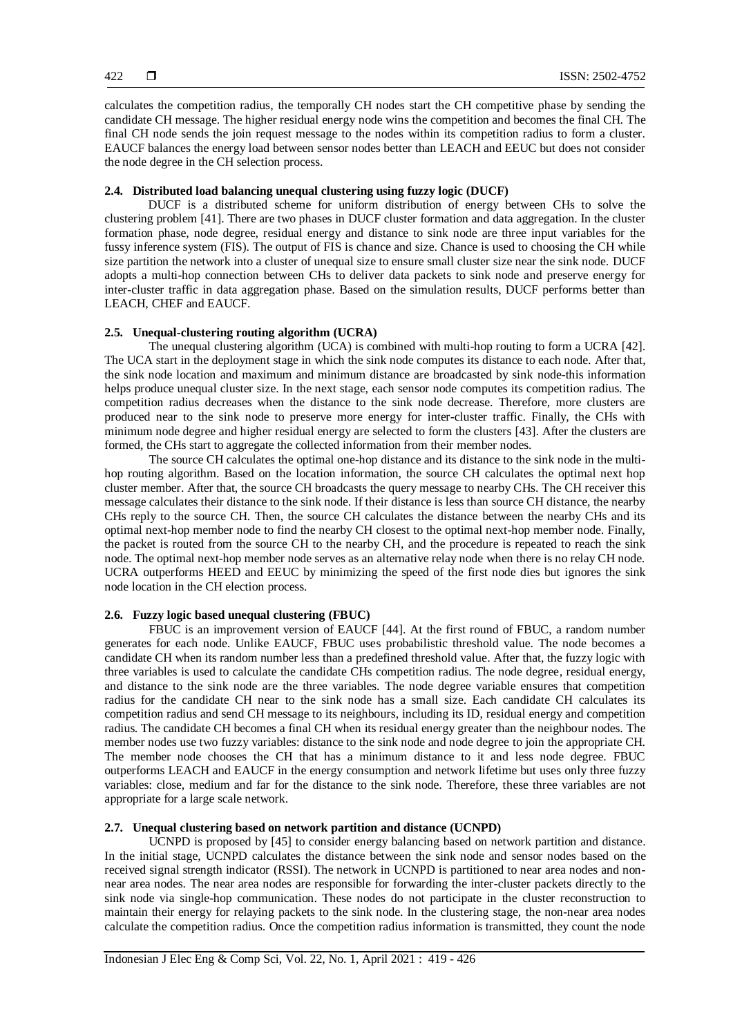calculates the competition radius, the temporally CH nodes start the CH competitive phase by sending the candidate CH message. The higher residual energy node wins the competition and becomes the final CH. The final CH node sends the join request message to the nodes within its competition radius to form a cluster. EAUCF balances the energy load between sensor nodes better than LEACH and EEUC but does not consider the node degree in the CH selection process.

# **2.4. Distributed load balancing unequal clustering using fuzzy logic (DUCF)**

DUCF is a distributed scheme for uniform distribution of energy between CHs to solve the clustering problem [41]. There are two phases in DUCF cluster formation and data aggregation. In the cluster formation phase, node degree, residual energy and distance to sink node are three input variables for the fussy inference system (FIS). The output of FIS is chance and size. Chance is used to choosing the CH while size partition the network into a cluster of unequal size to ensure small cluster size near the sink node. DUCF adopts a multi-hop connection between CHs to deliver data packets to sink node and preserve energy for inter-cluster traffic in data aggregation phase. Based on the simulation results, DUCF performs better than LEACH, CHEF and EAUCF.

#### **2.5. Unequal-clustering routing algorithm (UCRA)**

The unequal clustering algorithm (UCA) is combined with multi-hop routing to form a UCRA [42]. The UCA start in the deployment stage in which the sink node computes its distance to each node. After that, the sink node location and maximum and minimum distance are broadcasted by sink node-this information helps produce unequal cluster size. In the next stage, each sensor node computes its competition radius. The competition radius decreases when the distance to the sink node decrease. Therefore, more clusters are produced near to the sink node to preserve more energy for inter-cluster traffic. Finally, the CHs with minimum node degree and higher residual energy are selected to form the clusters [43]. After the clusters are formed, the CHs start to aggregate the collected information from their member nodes.

The source CH calculates the optimal one-hop distance and its distance to the sink node in the multihop routing algorithm. Based on the location information, the source CH calculates the optimal next hop cluster member. After that, the source CH broadcasts the query message to nearby CHs. The CH receiver this message calculates their distance to the sink node. If their distance is less than source CH distance, the nearby CHs reply to the source CH. Then, the source CH calculates the distance between the nearby CHs and its optimal next-hop member node to find the nearby CH closest to the optimal next-hop member node. Finally, the packet is routed from the source CH to the nearby CH, and the procedure is repeated to reach the sink node. The optimal next-hop member node serves as an alternative relay node when there is no relay CH node. UCRA outperforms HEED and EEUC by minimizing the speed of the first node dies but ignores the sink node location in the CH election process.

# **2.6. Fuzzy logic based unequal clustering (FBUC)**

FBUC is an improvement version of EAUCF [44]. At the first round of FBUC, a random number generates for each node. Unlike EAUCF, FBUC uses probabilistic threshold value. The node becomes a candidate CH when its random number less than a predefined threshold value. After that, the fuzzy logic with three variables is used to calculate the candidate CHs competition radius. The node degree, residual energy, and distance to the sink node are the three variables. The node degree variable ensures that competition radius for the candidate CH near to the sink node has a small size. Each candidate CH calculates its competition radius and send CH message to its neighbours, including its ID, residual energy and competition radius. The candidate CH becomes a final CH when its residual energy greater than the neighbour nodes. The member nodes use two fuzzy variables: distance to the sink node and node degree to join the appropriate CH. The member node chooses the CH that has a minimum distance to it and less node degree. FBUC outperforms LEACH and EAUCF in the energy consumption and network lifetime but uses only three fuzzy variables: close, medium and far for the distance to the sink node. Therefore, these three variables are not appropriate for a large scale network.

# **2.7. Unequal clustering based on network partition and distance (UCNPD)**

UCNPD is proposed by [45] to consider energy balancing based on network partition and distance. In the initial stage, UCNPD calculates the distance between the sink node and sensor nodes based on the received signal strength indicator (RSSI). The network in UCNPD is partitioned to near area nodes and nonnear area nodes. The near area nodes are responsible for forwarding the inter-cluster packets directly to the sink node via single-hop communication. These nodes do not participate in the cluster reconstruction to maintain their energy for relaying packets to the sink node. In the clustering stage, the non-near area nodes calculate the competition radius. Once the competition radius information is transmitted, they count the node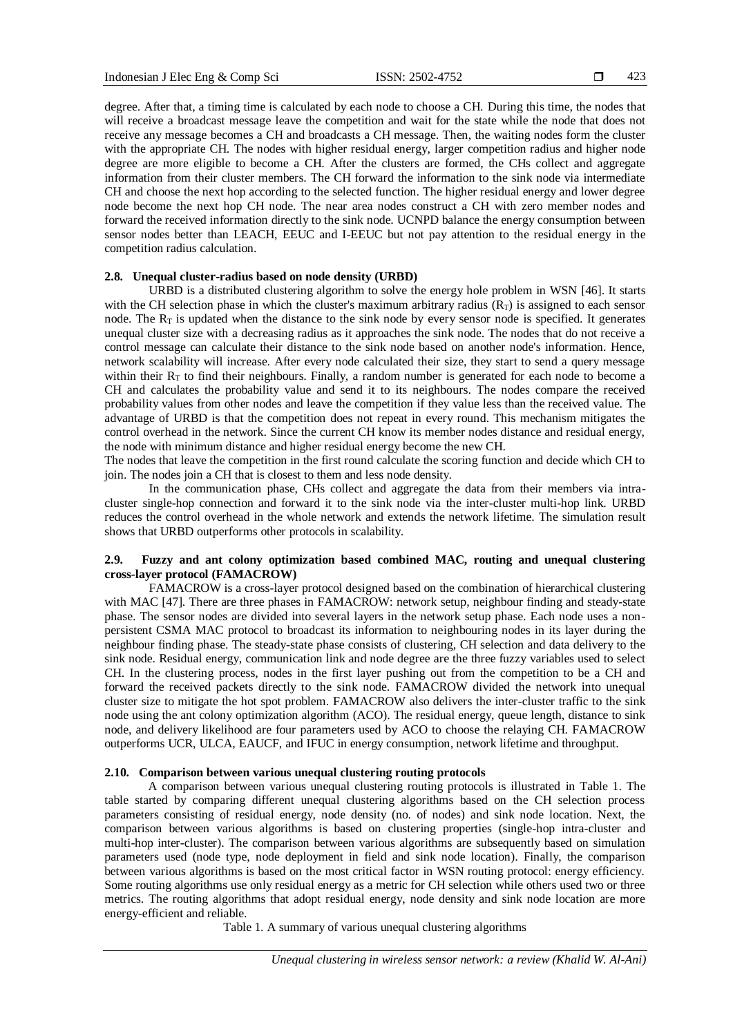423

degree. After that, a timing time is calculated by each node to choose a CH. During this time, the nodes that will receive a broadcast message leave the competition and wait for the state while the node that does not receive any message becomes a CH and broadcasts a CH message. Then, the waiting nodes form the cluster with the appropriate CH. The nodes with higher residual energy, larger competition radius and higher node degree are more eligible to become a CH. After the clusters are formed, the CHs collect and aggregate information from their cluster members. The CH forward the information to the sink node via intermediate CH and choose the next hop according to the selected function. The higher residual energy and lower degree node become the next hop CH node. The near area nodes construct a CH with zero member nodes and forward the received information directly to the sink node. UCNPD balance the energy consumption between sensor nodes better than LEACH, EEUC and I-EEUC but not pay attention to the residual energy in the competition radius calculation.

## **2.8. Unequal cluster-radius based on node density (URBD)**

URBD is a distributed clustering algorithm to solve the energy hole problem in WSN [46]. It starts with the CH selection phase in which the cluster's maximum arbitrary radius  $(R_T)$  is assigned to each sensor node. The  $R_T$  is updated when the distance to the sink node by every sensor node is specified. It generates unequal cluster size with a decreasing radius as it approaches the sink node. The nodes that do not receive a control message can calculate their distance to the sink node based on another node's information. Hence, network scalability will increase. After every node calculated their size, they start to send a query message within their  $R<sub>T</sub>$  to find their neighbours. Finally, a random number is generated for each node to become a CH and calculates the probability value and send it to its neighbours. The nodes compare the received probability values from other nodes and leave the competition if they value less than the received value. The advantage of URBD is that the competition does not repeat in every round. This mechanism mitigates the control overhead in the network. Since the current CH know its member nodes distance and residual energy, the node with minimum distance and higher residual energy become the new CH.

The nodes that leave the competition in the first round calculate the scoring function and decide which CH to join. The nodes join a CH that is closest to them and less node density.

In the communication phase, CHs collect and aggregate the data from their members via intracluster single-hop connection and forward it to the sink node via the inter-cluster multi-hop link. URBD reduces the control overhead in the whole network and extends the network lifetime. The simulation result shows that URBD outperforms other protocols in scalability.

# **2.9. Fuzzy and ant colony optimization based combined MAC, routing and unequal clustering cross-layer protocol (FAMACROW)**

FAMACROW is a cross-layer protocol designed based on the combination of hierarchical clustering with MAC [47]. There are three phases in FAMACROW: network setup, neighbour finding and steady-state phase. The sensor nodes are divided into several layers in the network setup phase. Each node uses a nonpersistent CSMA MAC protocol to broadcast its information to neighbouring nodes in its layer during the neighbour finding phase. The steady-state phase consists of clustering, CH selection and data delivery to the sink node. Residual energy, communication link and node degree are the three fuzzy variables used to select CH. In the clustering process, nodes in the first layer pushing out from the competition to be a CH and forward the received packets directly to the sink node. FAMACROW divided the network into unequal cluster size to mitigate the hot spot problem. FAMACROW also delivers the inter-cluster traffic to the sink node using the ant colony optimization algorithm (ACO). The residual energy, queue length, distance to sink node, and delivery likelihood are four parameters used by ACO to choose the relaying CH. FAMACROW outperforms UCR, ULCA, EAUCF, and IFUC in energy consumption, network lifetime and throughput.

# **2.10. Comparison between various unequal clustering routing protocols**

A comparison between various unequal clustering routing protocols is illustrated in Table 1. The table started by comparing different unequal clustering algorithms based on the CH selection process parameters consisting of residual energy, node density (no. of nodes) and sink node location. Next, the comparison between various algorithms is based on clustering properties (single-hop intra-cluster and multi-hop inter-cluster). The comparison between various algorithms are subsequently based on simulation parameters used (node type, node deployment in field and sink node location). Finally, the comparison between various algorithms is based on the most critical factor in WSN routing protocol: energy efficiency. Some routing algorithms use only residual energy as a metric for CH selection while others used two or three metrics. The routing algorithms that adopt residual energy, node density and sink node location are more energy-efficient and reliable.

Table 1. A summary of various unequal clustering algorithms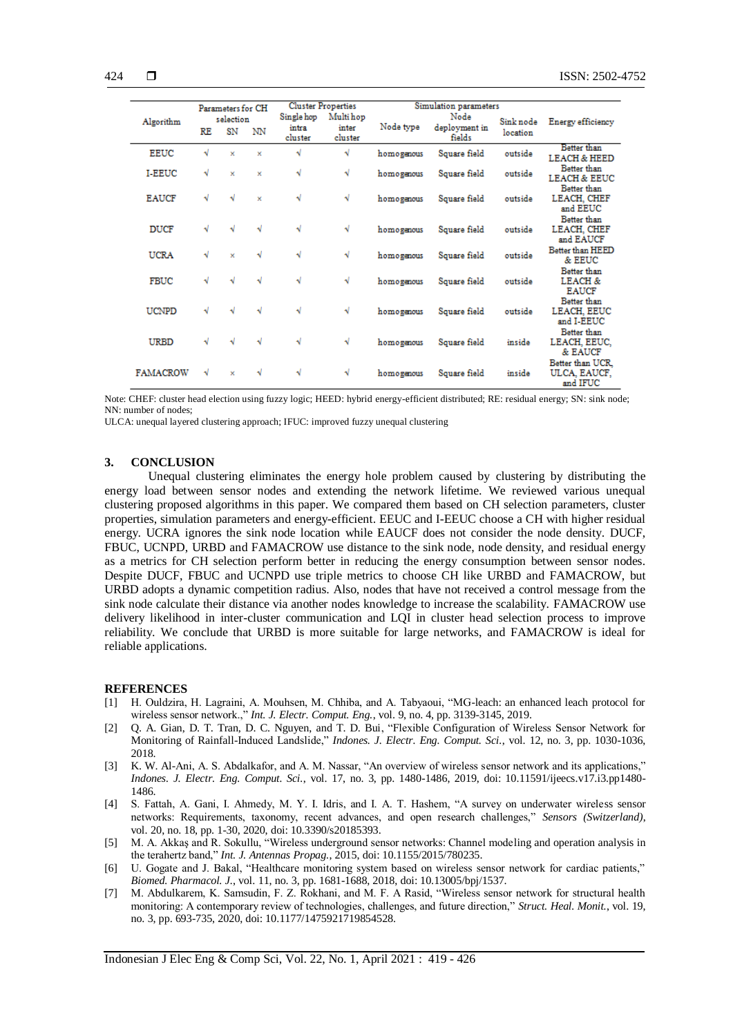|                 | Parameters for CH |                 |    | <b>Cluster Properties</b>      |                               | Simulation parameters |                                 |                       |                                                   |
|-----------------|-------------------|-----------------|----|--------------------------------|-------------------------------|-----------------------|---------------------------------|-----------------------|---------------------------------------------------|
| Algorithm       | RE                | selection<br>SN | NN | Single hop<br>intra<br>cluster | Multi hop<br>inter<br>cluster | Node type             | Node<br>deployment in<br>fields | Sink node<br>location | Energy efficiency                                 |
| <b>EEUC</b>     | √                 | ×               | ×  | √                              | √                             | homogenous            | Square field                    | outside               | Better than<br><b>LEACH &amp; HEED</b>            |
| <b>I-EEUC</b>   | √                 | ×               | ×  | √                              | √                             | homogenous            | Square field                    | outside               | Better than<br><b>LEACH &amp; EEUC</b>            |
| <b>EAUCF</b>    | √                 | √               | ×  | √                              | √                             | homogenous            | Square field                    | outside               | Better than<br>LEACH, CHEF<br>and EEUC            |
| <b>DUCF</b>     | √                 | √               | √  | √                              | √                             | homogenous            | Square field                    | outside               | Better than<br>LEACH, CHEF<br>and EAUCF           |
| <b>UCRA</b>     | √                 | ×               | N  | √                              | √                             | homogenous            | Square field                    | outside               | Better than HEED<br>& EEUC                        |
| <b>FBUC</b>     | √                 | ٦J              | √  | √                              | √                             | homogenous            | Square field                    | outside               | Better than<br><b>LEACH &amp;</b><br><b>EAUCF</b> |
| <b>UCNPD</b>    | √                 | ۰J              | √  | √                              | √                             | homogenous            | Square field                    | outside               | Better than<br>LEACH, EEUC<br>and I-EEUC          |
| URBD            |                   | ۰J              | √  | √                              | √                             | homogenous            | Square field                    | inside                | Better than<br>LEACH, EEUC,<br>& EAUCF            |
| <b>FAMACROW</b> |                   | ×               | √  | √                              | √                             | homogenous            | Square field                    | inside                | Better than UCR.<br>ULCA, EAUCF,<br>and IFUC      |

Note: CHEF: cluster head election using fuzzy logic; HEED: hybrid energy-efficient distributed; RE: residual energy; SN: sink node; NN: number of nodes;

ULCA: unequal layered clustering approach; IFUC: improved fuzzy unequal clustering

#### **3. CONCLUSION**

Unequal clustering eliminates the energy hole problem caused by clustering by distributing the energy load between sensor nodes and extending the network lifetime. We reviewed various unequal clustering proposed algorithms in this paper. We compared them based on CH selection parameters, cluster properties, simulation parameters and energy-efficient. EEUC and I-EEUC choose a CH with higher residual energy. UCRA ignores the sink node location while EAUCF does not consider the node density. DUCF, FBUC, UCNPD, URBD and FAMACROW use distance to the sink node, node density, and residual energy as a metrics for CH selection perform better in reducing the energy consumption between sensor nodes. Despite DUCF, FBUC and UCNPD use triple metrics to choose CH like URBD and FAMACROW, but URBD adopts a dynamic competition radius. Also, nodes that have not received a control message from the sink node calculate their distance via another nodes knowledge to increase the scalability. FAMACROW use delivery likelihood in inter-cluster communication and LQI in cluster head selection process to improve reliability. We conclude that URBD is more suitable for large networks, and FAMACROW is ideal for reliable applications.

#### **REFERENCES**

- [1] H. Ouldzira, H. Lagraini, A. Mouhsen, M. Chhiba, and A. Tabyaoui, "MG-leach: an enhanced leach protocol for wireless sensor network.," *Int. J. Electr. Comput. Eng.*, vol. 9, no. 4, pp. 3139-3145, 2019.
- [2] Q. A. Gian, D. T. Tran, D. C. Nguyen, and T. D. Bui, "Flexible Configuration of Wireless Sensor Network for Monitoring of Rainfall-Induced Landslide," *Indones. J. Electr. Eng. Comput. Sci.*, vol. 12, no. 3, pp. 1030-1036, 2018.
- [3] K. W. Al-Ani, A. S. Abdalkafor, and A. M. Nassar, "An overview of wireless sensor network and its applications," *Indones. J. Electr. Eng. Comput. Sci.*, vol. 17, no. 3, pp. 1480-1486, 2019, doi: 10.11591/ijeecs.v17.i3.pp1480- 1486.
- [4] S. Fattah, A. Gani, I. Ahmedy, M. Y. I. Idris, and I. A. T. Hashem, "A survey on underwater wireless sensor networks: Requirements, taxonomy, recent advances, and open research challenges," *Sensors (Switzerland)*, vol. 20, no. 18, pp. 1-30, 2020, doi: 10.3390/s20185393.
- [5] M. A. Akkaş and R. Sokullu, "Wireless underground sensor networks: Channel modeling and operation analysis in the terahertz band," *Int. J. Antennas Propag.*, 2015, doi: 10.1155/2015/780235.
- [6] U. Gogate and J. Bakal, "Healthcare monitoring system based on wireless sensor network for cardiac patients," *Biomed. Pharmacol. J.*, vol. 11, no. 3, pp. 1681-1688, 2018, doi: 10.13005/bpj/1537.
- [7] M. Abdulkarem, K. Samsudin, F. Z. Rokhani, and M. F. A Rasid, "Wireless sensor network for structural health monitoring: A contemporary review of technologies, challenges, and future direction," *Struct. Heal. Monit.*, vol. 19, no. 3, pp. 693-735, 2020, doi: 10.1177/1475921719854528.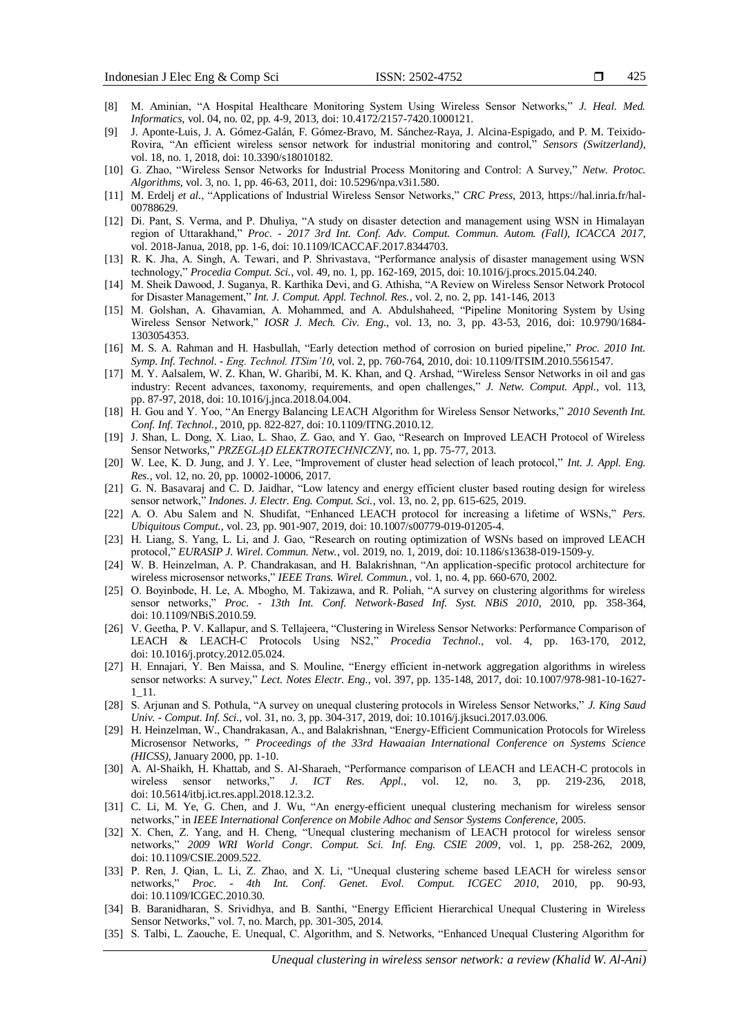- [8] M. Aminian, "A Hospital Healthcare Monitoring System Using Wireless Sensor Networks," *J. Heal. Med. Informatics*, vol. 04, no. 02, pp. 4-9, 2013, doi: 10.4172/2157-7420.1000121.
- [9] J. Aponte-Luis, J. A. Gómez-Galán, F. Gómez-Bravo, M. Sánchez-Raya, J. Alcina-Espigado, and P. M. Teixido-Rovira, "An efficient wireless sensor network for industrial monitoring and control," *Sensors (Switzerland)*, vol. 18, no. 1, 2018, doi: 10.3390/s18010182.
- [10] G. Zhao, "Wireless Sensor Networks for Industrial Process Monitoring and Control: A Survey," *Netw. Protoc. Algorithms*, vol. 3, no. 1, pp. 46-63, 2011, doi: 10.5296/npa.v3i1.580.
- [11] M. Erdelj *et al.*, "Applications of Industrial Wireless Sensor Networks," *CRC Press*, 2013, https://hal.inria.fr/hal-00788629.
- [12] Di. Pant, S. Verma, and P. Dhuliya, "A study on disaster detection and management using WSN in Himalayan region of Uttarakhand," *Proc. - 2017 3rd Int. Conf. Adv. Comput. Commun. Autom. (Fall), ICACCA 2017*, vol. 2018-Janua, 2018, pp. 1-6, doi: 10.1109/ICACCAF.2017.8344703.
- [13] R. K. Jha, A. Singh, A. Tewari, and P. Shrivastava, "Performance analysis of disaster management using WSN technology," *Procedia Comput. Sci.*, vol. 49, no. 1, pp. 162-169, 2015, doi: 10.1016/j.procs.2015.04.240.
- [14] M. Sheik Dawood, J. Suganya, R. Karthika Devi, and G. Athisha, "A Review on Wireless Sensor Network Protocol for Disaster Management," *Int. J. Comput. Appl. Technol. Res.*, vol. 2, no. 2, pp. 141-146, 2013
- [15] M. Golshan, A. Ghavamian, A. Mohammed, and A. Abdulshaheed, "Pipeline Monitoring System by Using Wireless Sensor Network," *IOSR J. Mech. Civ. Eng*., vol. 13, no. 3, pp. 43-53, 2016, doi: 10.9790/1684- 1303054353.
- [16] M. S. A. Rahman and H. Hasbullah, "Early detection method of corrosion on buried pipeline," *Proc. 2010 Int. Symp. Inf. Technol. - Eng. Technol. ITSim'10*, vol. 2, pp. 760-764, 2010, doi: 10.1109/ITSIM.2010.5561547.
- [17] M. Y. Aalsalem, W. Z. Khan, W. Gharibi, M. K. Khan, and Q. Arshad, "Wireless Sensor Networks in oil and gas industry: Recent advances, taxonomy, requirements, and open challenges," *J. Netw. Comput. Appl.*, vol. 113, pp. 87-97, 2018, doi: 10.1016/j.jnca.2018.04.004.
- [18] H. Gou and Y. Yoo, "An Energy Balancing LEACH Algorithm for Wireless Sensor Networks," *2010 Seventh Int. Conf. Inf. Technol.*, 2010, pp. 822-827, doi: 10.1109/ITNG.2010.12.
- [19] J. Shan, L. Dong, X. Liao, L. Shao, Z. Gao, and Y. Gao, "Research on Improved LEACH Protocol of Wireless Sensor Networks," *PRZEGLĄD ELEKTROTECHNICZNY*, no. 1, pp. 75-77, 2013.
- [20] W. Lee, K. D. Jung, and J. Y. Lee, "Improvement of cluster head selection of leach protocol," *Int. J. Appl. Eng. Res.*, vol. 12, no. 20, pp. 10002-10006, 2017.
- [21] G. N. Basavaraj and C. D. Jaidhar, "Low latency and energy efficient cluster based routing design for wireless sensor network," *Indones. J. Electr. Eng. Comput. Sci.*, vol. 13, no. 2, pp. 615-625, 2019.
- [22] A. O. Abu Salem and N. Shudifat, "Enhanced LEACH protocol for increasing a lifetime of WSNs," *Pers. Ubiquitous Comput.*, vol. 23, pp. 901-907, 2019, doi: 10.1007/s00779-019-01205-4.
- [23] H. Liang, S. Yang, L. Li, and J. Gao, "Research on routing optimization of WSNs based on improved LEACH protocol," *EURASIP J. Wirel. Commun. Netw.*, vol. 2019, no. 1, 2019, doi: 10.1186/s13638-019-1509-y.
- [24] W. B. Heinzelman, A. P. Chandrakasan, and H. Balakrishnan, "An application-specific protocol architecture for wireless microsensor networks," *IEEE Trans. Wirel. Commun.*, vol. 1, no. 4, pp. 660-670, 2002.
- [25] O. Boyinbode, H. Le, A. Mbogho, M. Takizawa, and R. Poliah, "A survey on clustering algorithms for wireless sensor networks," *Proc. - 13th Int. Conf. Network-Based Inf. Syst. NBiS 2010*, 2010, pp. 358-364, doi: 10.1109/NBiS.2010.59.
- [26] V. Geetha, P. V. Kallapur, and S. Tellajeera, "Clustering in Wireless Sensor Networks: Performance Comparison of LEACH & LEACH-C Protocols Using NS2," *Procedia Technol.*, vol. 4, pp. 163-170, 2012, doi: 10.1016/j.protcy.2012.05.024.
- [27] H. Ennajari, Y. Ben Maissa, and S. Mouline, "Energy efficient in-network aggregation algorithms in wireless sensor networks: A survey," *Lect. Notes Electr. Eng.*, vol. 397, pp. 135-148, 2017, doi: 10.1007/978-981-10-1627- 1\_11.
- [28] S. Arjunan and S. Pothula, "A survey on unequal clustering protocols in Wireless Sensor Networks," *J. King Saud Univ. - Comput. Inf. Sci.*, vol. 31, no. 3, pp. 304-317, 2019, doi: 10.1016/j.jksuci.2017.03.006.
- [29] H. Heinzelman, W., Chandrakasan, A., and Balakrishnan, "Energy-Efficient Communication Protocols for Wireless Microsensor Networks, " *Proceedings of the 33rd Hawaaian International Conference on Systems Science (HICSS)*, January 2000, pp. 1-10.
- [30] A. Al-Shaikh, H. Khattab, and S. Al-Sharaeh, "Performance comparison of LEACH and LEACH-C protocols in wireless sensor networks," *J. ICT Res. Appl.*, vol. 12, no. 3, pp. 219-236, 2018, doi: 10.5614/itbj.ict.res.appl.2018.12.3.2.
- [31] C. Li, M. Ye, G. Chen, and J. Wu, "An energy-efficient unequal clustering mechanism for wireless sensor networks," in *IEEE International Conference on Mobile Adhoc and Sensor Systems Conference,* 2005.
- [32] X. Chen, Z. Yang, and H. Cheng, "Unequal clustering mechanism of LEACH protocol for wireless sensor networks," *2009 WRI World Congr. Comput. Sci. Inf. Eng. CSIE 2009*, vol. 1, pp. 258-262, 2009, doi: 10.1109/CSIE.2009.522.
- [33] P. Ren, J. Qian, L. Li, Z. Zhao, and X. Li, "Unequal clustering scheme based LEACH for wireless sensor networks," *Proc. - 4th Int. Conf. Genet. Evol. Comput. ICGEC 2010*, 2010, pp. 90-93, doi: 10.1109/ICGEC.2010.30.
- [34] B. Baranidharan, S. Srividhya, and B. Santhi, "Energy Efficient Hierarchical Unequal Clustering in Wireless Sensor Networks," vol. 7, no. March, pp. 301-305, 2014.
- [35] S. Talbi, L. Zaouche, E. Unequal, C. Algorithm, and S. Networks, "Enhanced Unequal Clustering Algorithm for